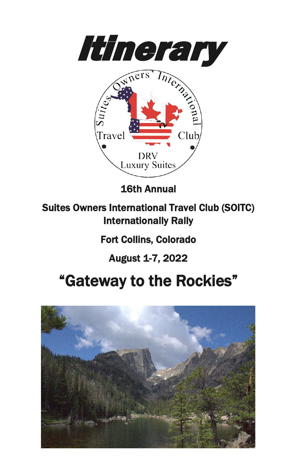



16th Annual

Suites Owners International Travel Club (SOITC) Internationally Rally

Fort Collins, Colorado

August 1-7, 2022

## "Gateway to the Rockies"

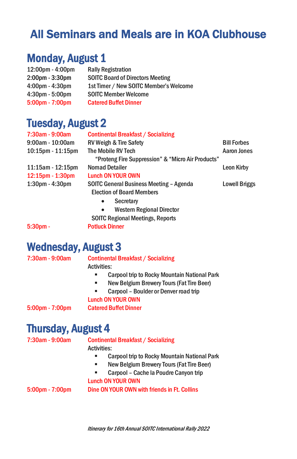## All Seminars and Meals are in KOA Clubhouse

#### Monday, August 1

| $12:00 \text{pm} - 4:00 \text{pm}$ | <b>Rally Registration</b>               |
|------------------------------------|-----------------------------------------|
| 2:00pm - 3:30pm                    | <b>SOITC Board of Directors Meeting</b> |
| $4:00$ pm - $4:30$ pm              | 1st Timer / New SOITC Member's Welcome  |
| $4:30pm - 5:00pm$                  | <b>SOITC Member Welcome</b>             |
| $5:00 \text{pm} - 7:00 \text{pm}$  | <b>Catered Buffet Dinner</b>            |

#### Tuesday, August 2

| 7:30am - 9:00am         | <b>Continental Breakfast / Socializing</b>        |                      |
|-------------------------|---------------------------------------------------|----------------------|
| $9:00$ am - 10:00am     | <b>RV Weigh &amp; Tire Safety</b>                 | <b>Bill Forbes</b>   |
| $10:15$ pm - $11:15$ pm | The Mobile RV Tech                                | Aaron Jones          |
|                         | "Proteng Fire Suppression" & "Micro Air Products" |                      |
| $11:15am - 12:15pm$     | <b>Nomad Detailer</b>                             | Leon Kirby           |
| $12:15$ pm - 1:30pm     | Lunch ON YOUR OWN                                 |                      |
| $1:30pm - 4:30pm$       | SOITC General Business Meeting - Agenda           | <b>Lowell Briggs</b> |
|                         | <b>Election of Board Members</b>                  |                      |
|                         | Secretary<br>$\bullet$                            |                      |
|                         | <b>Western Regional Director</b><br>$\bullet$     |                      |
|                         | <b>SOITC Regional Meetings, Reports</b>           |                      |
| $5:30pm -$              | <b>Potluck Dinner</b>                             |                      |

Wednesday, August 3<br>7:30am - 9:00am Continental Breakfast / Socializing Activities: **EXEC** Carpool trip to Rocky Mountain National Park **New Belgium Brewery Tours (Fat Tire Beer)** 

 Carpool – Boulder or Denver road trip Lunch ON YOUR OWN

5:00pm - 7:00pm Catered Buffet Dinner

## Thursday, August 4 7:30am - 9:00am Continental Breakfast / Socializing

Activities:

- **EXEC** Carpool trip to Rocky Mountain National Park
- **New Belgium Brewery Tours (Fat Tire Beer)**
- Carpool Cache la Poudre Canyon trip

#### Lunch ON YOUR OWN

5:00pm - 7:00pm Dine ON YOUR OWN with friends in Ft. Collins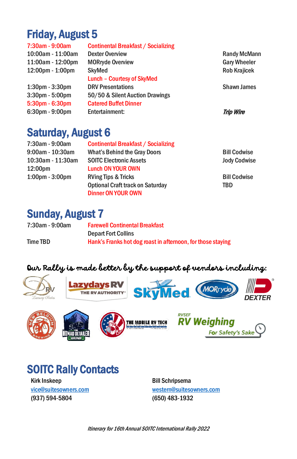## Friday, August 5

| 7:30am - 9:00am   | Continental Breakfast / Socializing |                     |
|-------------------|-------------------------------------|---------------------|
| 10:00am - 11:00am | <b>Dexter Overview</b>              | <b>Randy McMann</b> |
| 11:00am - 12:00pm | <b>MORryde Overview</b>             | <b>Gary Wheeler</b> |
| 12:00pm - 1:00pm  | <b>SkyMed</b>                       | <b>Rob Krajicek</b> |
|                   | <b>Lunch - Courtesy of SkyMed</b>   |                     |
| 1:30pm - 3:30pm   | <b>DRV Presentations</b>            | <b>Shawn James</b>  |
| 3:30pm - 5:00pm   | 50/50 & Silent Auction Drawings     |                     |
| 5:30pm - 6:30pm   | <b>Catered Buffet Dinner</b>        |                     |
| 6:30pm - 9:00pm   | Entertainment:                      | <b>Trip Wire</b>    |
|                   |                                     |                     |

#### Saturday, August 6

| 7:30am - 9:00am                   | <b>Continental Breakfast / Socializing</b> |                     |
|-----------------------------------|--------------------------------------------|---------------------|
| $9:00$ am - 10:30am               | <b>What's Behind the Gray Doors</b>        | <b>Bill Codwise</b> |
| 10:30am - 11:30am                 | <b>SOITC Electronic Assets</b>             | <b>Jody Codwise</b> |
| 12:00 <sub>pm</sub>               | <b>Lunch ON YOUR OWN</b>                   |                     |
| $1:00 \text{pm} - 3:00 \text{pm}$ | <b>RVing Tips &amp; Tricks</b>             | <b>Bill Codwise</b> |
|                                   | <b>Optional Craft track on Saturday</b>    | TBD                 |
|                                   | Dinner ON YOUR OWN                         |                     |

#### Sunday, August 7

| 7:30am - 9:00am | <b>Farewell Continental Breakfast</b>                       |
|-----------------|-------------------------------------------------------------|
|                 | <b>Depart Fort Collins</b>                                  |
| Time TBD        | Hank's Franks hot dog roast in afternoon, for those staying |

#### Our Rally is made better by the support of vendors including:













# **SOITC Rally Contacts**<br>Kirk Inskeep

[vice@suitesowners.com](mailto:vice@suitesowners.com) (937) 594-5804

Bill Schripsema [western@suitesowners.com](mailto:western@suitesowners.com) (650) 483-1932

Itinerary for 16th Annual SOITC International Rally 2022